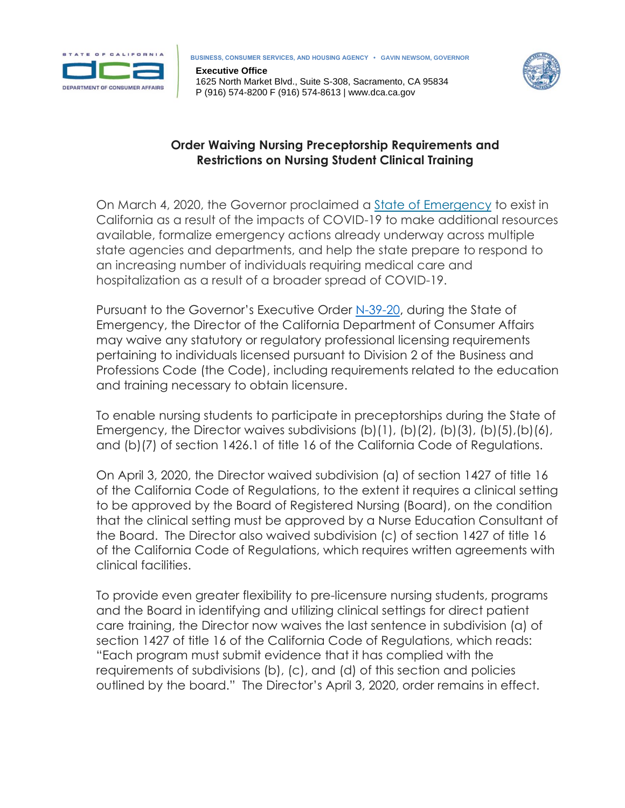

**BUSINESS, CONSUMER SERVICES, AND HOUSING AGENCY • GAVIN NEWSOM, GOVERNOR**

**Executive Office** 1625 North Market Blvd., Suite S-308, Sacramento, CA 95834 P (916) 574-8200 F (916) 574-8613 | www.dca.ca.gov



## **Order Waiving Nursing Preceptorship Requirements and Restrictions on Nursing Student Clinical Training**

On March 4, 2020, the Governor proclaimed a State of [Emergency](https://www.gov.ca.gov/wp-content/uploads/2020/03/3.4.20-Coronavirus-SOE-Proclamation.pdf) to exist in California as a result of the impacts of COVID-19 to make additional resources available, formalize emergency actions already underway across multiple state agencies and departments, and help the state prepare to respond to an increasing number of individuals requiring medical care and hospitalization as a result of a broader spread of COVID-19.

Pursuant to the Governor's Executive Order [N-39-20,](https://www.gov.ca.gov/wp-content/uploads/2020/03/3.30.20-EO-N-39-20.pdf) during the State of Emergency, the Director of the California Department of Consumer Affairs may waive any statutory or regulatory professional licensing requirements pertaining to individuals licensed pursuant to Division 2 of the Business and Professions Code (the Code), including requirements related to the education and training necessary to obtain licensure.

To enable nursing students to participate in preceptorships during the State of Emergency, the Director waives subdivisions (b)(1), (b)(2), (b)(3), (b)(5),(b)(6), and (b)(7) of section 1426.1 of title 16 of the California Code of Regulations.

On April 3, 2020, the Director waived subdivision (a) of section 1427 of title 16 of the California Code of Regulations, to the extent it requires a clinical setting to be approved by the Board of Registered Nursing (Board), on the condition that the clinical setting must be approved by a Nurse Education Consultant of the Board. The Director also waived subdivision (c) of section 1427 of title 16 of the California Code of Regulations, which requires written agreements with clinical facilities.

To provide even greater flexibility to pre-licensure nursing students, programs and the Board in identifying and utilizing clinical settings for direct patient care training, the Director now waives the last sentence in subdivision (a) of section 1427 of title 16 of the California Code of Regulations, which reads: "Each program must submit evidence that it has complied with the requirements of subdivisions (b), (c), and (d) of this section and policies outlined by the board." The Director's April 3, 2020, order remains in effect.